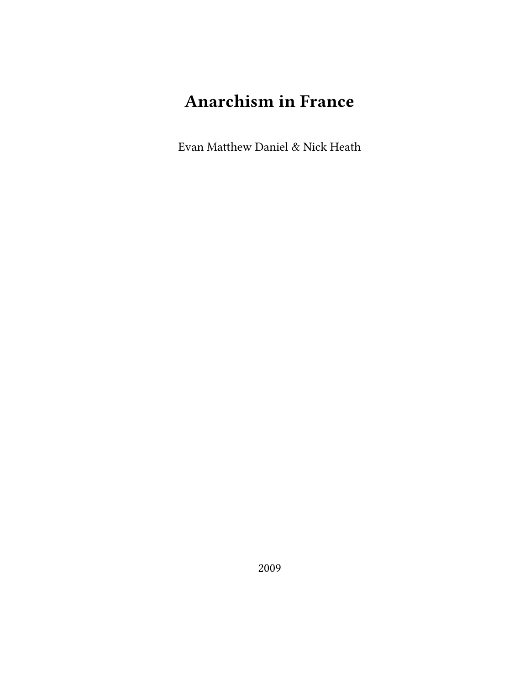# **Anarchism in France**

Evan Matthew Daniel & Nick Heath

2009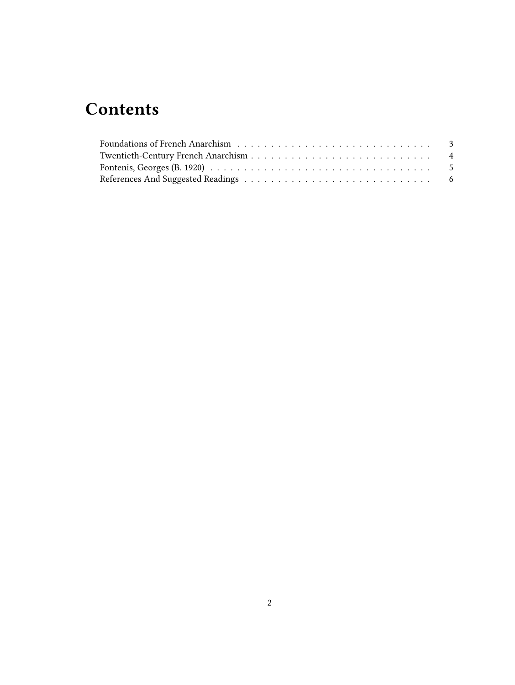## **Contents**

| Fontenis, Georges (B. 1920) $\ldots \ldots \ldots \ldots \ldots \ldots \ldots \ldots \ldots \ldots \ldots \ldots \ldots$ |  |
|--------------------------------------------------------------------------------------------------------------------------|--|
|                                                                                                                          |  |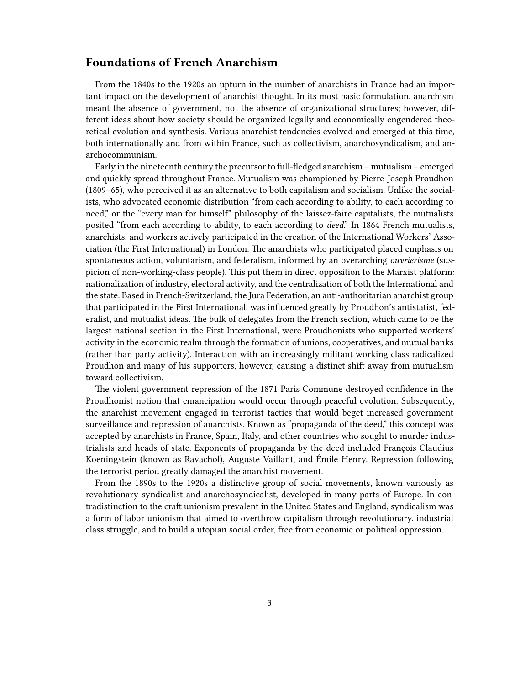#### <span id="page-2-0"></span>**Foundations of French Anarchism**

From the 1840s to the 1920s an upturn in the number of anarchists in France had an important impact on the development of anarchist thought. In its most basic formulation, anarchism meant the absence of government, not the absence of organizational structures; however, different ideas about how society should be organized legally and economically engendered theoretical evolution and synthesis. Various anarchist tendencies evolved and emerged at this time, both internationally and from within France, such as collectivism, anarchosyndicalism, and anarchocommunism.

Early in the nineteenth century the precursor to full-fledged anarchism – mutualism – emerged and quickly spread throughout France. Mutualism was championed by Pierre-Joseph Proudhon (1809–65), who perceived it as an alternative to both capitalism and socialism. Unlike the socialists, who advocated economic distribution "from each according to ability, to each according to need," or the "every man for himself" philosophy of the laissez-faire capitalists, the mutualists posited "from each according to ability, to each according to *deed*." In 1864 French mutualists, anarchists, and workers actively participated in the creation of the International Workers' Association (the First International) in London. The anarchists who participated placed emphasis on spontaneous action, voluntarism, and federalism, informed by an overarching *ouvrierisme* (suspicion of non-working-class people). This put them in direct opposition to the Marxist platform: nationalization of industry, electoral activity, and the centralization of both the International and the state. Based in French-Switzerland, the Jura Federation, an anti-authoritarian anarchist group that participated in the First International, was influenced greatly by Proudhon's antistatist, federalist, and mutualist ideas. The bulk of delegates from the French section, which came to be the largest national section in the First International, were Proudhonists who supported workers' activity in the economic realm through the formation of unions, cooperatives, and mutual banks (rather than party activity). Interaction with an increasingly militant working class radicalized Proudhon and many of his supporters, however, causing a distinct shift away from mutualism toward collectivism.

The violent government repression of the 1871 Paris Commune destroyed confidence in the Proudhonist notion that emancipation would occur through peaceful evolution. Subsequently, the anarchist movement engaged in terrorist tactics that would beget increased government surveillance and repression of anarchists. Known as "propaganda of the deed," this concept was accepted by anarchists in France, Spain, Italy, and other countries who sought to murder industrialists and heads of state. Exponents of propaganda by the deed included François Claudius Koeningstein (known as Ravachol), Auguste Vaillant, and Émile Henry. Repression following the terrorist period greatly damaged the anarchist movement.

From the 1890s to the 1920s a distinctive group of social movements, known variously as revolutionary syndicalist and anarchosyndicalist, developed in many parts of Europe. In contradistinction to the craft unionism prevalent in the United States and England, syndicalism was a form of labor unionism that aimed to overthrow capitalism through revolutionary, industrial class struggle, and to build a utopian social order, free from economic or political oppression.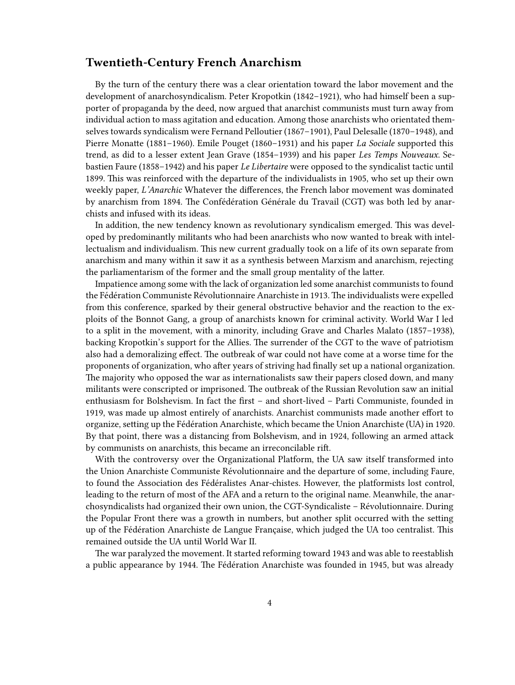#### <span id="page-3-0"></span>**Twentieth-Century French Anarchism**

By the turn of the century there was a clear orientation toward the labor movement and the development of anarchosyndicalism. Peter Kropotkin (1842–1921), who had himself been a supporter of propaganda by the deed, now argued that anarchist communists must turn away from individual action to mass agitation and education. Among those anarchists who orientated themselves towards syndicalism were Fernand Pelloutier (1867–1901), Paul Delesalle (1870–1948), and Pierre Monatte (1881–1960). Emile Pouget (1860–1931) and his paper *La Sociale* supported this trend, as did to a lesser extent Jean Grave (1854–1939) and his paper *Les Temps Nouveaux*. Sebastien Faure (1858–1942) and his paper *Le Libertaire* were opposed to the syndicalist tactic until 1899. This was reinforced with the departure of the individualists in 1905, who set up their own weekly paper, *L'Anarchic* Whatever the differences, the French labor movement was dominated by anarchism from 1894. The Confédération Générale du Travail (CGT) was both led by anarchists and infused with its ideas.

In addition, the new tendency known as revolutionary syndicalism emerged. This was developed by predominantly militants who had been anarchists who now wanted to break with intellectualism and individualism. This new current gradually took on a life of its own separate from anarchism and many within it saw it as a synthesis between Marxism and anarchism, rejecting the parliamentarism of the former and the small group mentality of the latter.

Impatience among some with the lack of organization led some anarchist communists to found the Fédération Communiste Révolutionnaire Anarchiste in 1913. The individualists were expelled from this conference, sparked by their general obstructive behavior and the reaction to the exploits of the Bonnot Gang, a group of anarchists known for criminal activity. World War I led to a split in the movement, with a minority, including Grave and Charles Malato (1857–1938), backing Kropotkin's support for the Allies. The surrender of the CGT to the wave of patriotism also had a demoralizing effect. The outbreak of war could not have come at a worse time for the proponents of organization, who after years of striving had finally set up a national organization. The majority who opposed the war as internationalists saw their papers closed down, and many militants were conscripted or imprisoned. The outbreak of the Russian Revolution saw an initial enthusiasm for Bolshevism. In fact the first – and short-lived – Parti Communiste, founded in 1919, was made up almost entirely of anarchists. Anarchist communists made another effort to organize, setting up the Fédération Anarchiste, which became the Union Anarchiste (UA) in 1920. By that point, there was a distancing from Bolshevism, and in 1924, following an armed attack by communists on anarchists, this became an irreconcilable rift.

With the controversy over the Organizational Platform, the UA saw itself transformed into the Union Anarchiste Communiste Révolutionnaire and the departure of some, including Faure, to found the Association des Fédéralistes Anar-chistes. However, the platformists lost control, leading to the return of most of the AFA and a return to the original name. Meanwhile, the anarchosyndicalists had organized their own union, the CGT-Syndicaliste – Révolutionnaire. During the Popular Front there was a growth in numbers, but another split occurred with the setting up of the Fédération Anarchiste de Langue Française, which judged the UA too centralist. This remained outside the UA until World War II.

The war paralyzed the movement. It started reforming toward 1943 and was able to reestablish a public appearance by 1944. The Fédération Anarchiste was founded in 1945, but was already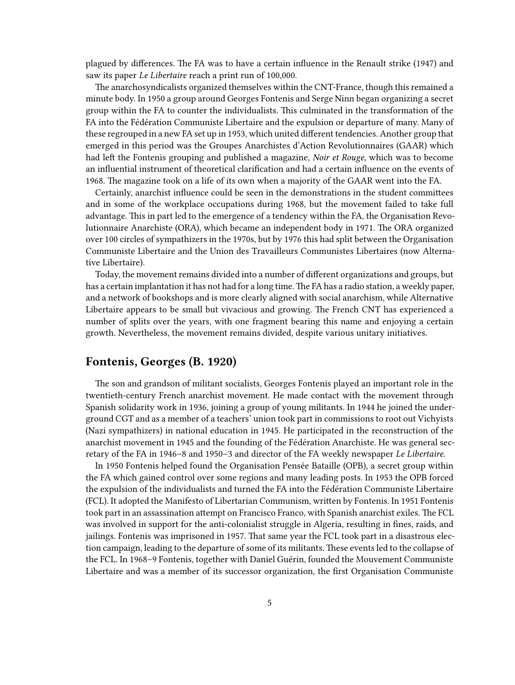plagued by differences. The FA was to have a certain influence in the Renault strike (1947) and saw its paper *Le Libertaire* reach a print run of 100,000.

The anarchosyndicalists organized themselves within the CNT-France, though this remained a minute body. In 1950 a group around Georges Fontenis and Serge Ninn began organizing a secret group within the FA to counter the individualists. This culminated in the transformation of the FA into the Fédération Communiste Libertaire and the expulsion or departure of many. Many of these regrouped in a new FA set up in 1953, which united different tendencies. Another group that emerged in this period was the Groupes Anarchistes d'Action Revolutionnaires (GAAR) which had left the Fontenis grouping and published a magazine, *Noir et Rouge*, which was to become an influential instrument of theoretical clarification and had a certain influence on the events of 1968. The magazine took on a life of its own when a majority of the GAAR went into the FA.

Certainly, anarchist influence could be seen in the demonstrations in the student committees and in some of the workplace occupations during 1968, but the movement failed to take full advantage. This in part led to the emergence of a tendency within the FA, the Organisation Revolutionnaire Anarchiste (ORA), which became an independent body in 1971. The ORA organized over 100 circles of sympathizers in the 1970s, but by 1976 this had split between the Organisation Communiste Libertaire and the Union des Travailleurs Communistes Libertaires (now Alternative Libertaire).

Today, the movement remains divided into a number of different organizations and groups, but has a certain implantation it has not had for a long time. The FA has a radio station, a weekly paper, and a network of bookshops and is more clearly aligned with social anarchism, while Alternative Libertaire appears to be small but vivacious and growing. The French CNT has experienced a number of splits over the years, with one fragment bearing this name and enjoying a certain growth. Nevertheless, the movement remains divided, despite various unitary initiatives.

#### <span id="page-4-0"></span>**Fontenis, Georges (B. 1920)**

The son and grandson of militant socialists, Georges Fontenis played an important role in the twentieth-century French anarchist movement. He made contact with the movement through Spanish solidarity work in 1936, joining a group of young militants. In 1944 he joined the underground CGT and as a member of a teachers' union took part in commissions to root out Vichyists (Nazi sympathizers) in national education in 1945. He participated in the reconstruction of the anarchist movement in 1945 and the founding of the Fédération Anarchiste. He was general secretary of the FA in 1946–8 and 1950–3 and director of the FA weekly newspaper *Le Libertaire*.

In 1950 Fontenis helped found the Organisation Pensée Bataille (OPB), a secret group within the FA which gained control over some regions and many leading posts. In 1953 the OPB forced the expulsion of the individualists and turned the FA into the Fédération Communiste Libertaire (FCL). It adopted the Manifesto of Libertarian Communism, written by Fontenis. In 1951 Fontenis took part in an assassination attempt on Francisco Franco, with Spanish anarchist exiles. The FCL was involved in support for the anti-colonialist struggle in Algeria, resulting in fines, raids, and jailings. Fontenis was imprisoned in 1957. That same year the FCL took part in a disastrous election campaign, leading to the departure of some of its militants. These events led to the collapse of the FCL. In 1968–9 Fontenis, together with Daniel Guérin, founded the Mouvement Communiste Libertaire and was a member of its successor organization, the first Organisation Communiste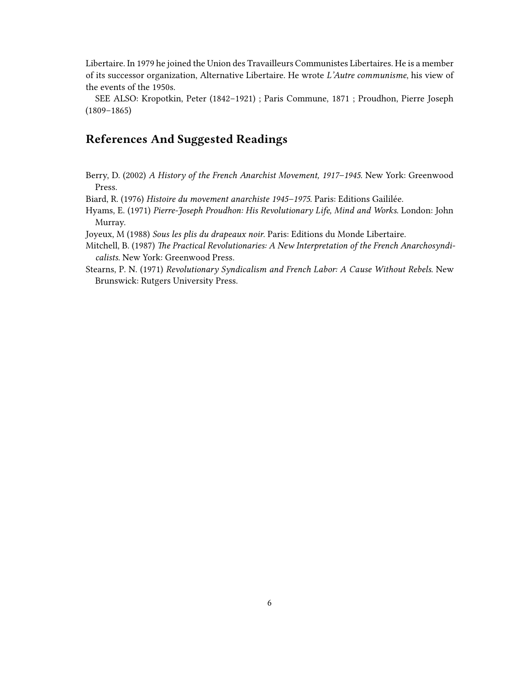Libertaire. In 1979 he joined the Union des Travailleurs Communistes Libertaires. He is a member of its successor organization, Alternative Libertaire. He wrote *L'Autre communisme*, his view of the events of the 1950s.

SEE ALSO: Kropotkin, Peter (1842–1921) ; Paris Commune, 1871 ; Proudhon, Pierre Joseph (1809–1865)

### <span id="page-5-0"></span>**References And Suggested Readings**

Berry, D. (2002) *A History of the French Anarchist Movement, 1917–1945*. New York: Greenwood Press.

Biard, R. (1976) *Histoire du movement anarchiste 1945–1975*. Paris: Editions Gaililée.

Hyams, E. (1971) *Pierre-Joseph Proudhon: His Revolutionary Life, Mind and Works*. London: John Murray.

Joyeux, M (1988) *Sous les plis du drapeaux noir*. Paris: Editions du Monde Libertaire.

Mitchell, B. (1987) *The Practical Revolutionaries: A New Interpretation of the French Anarchosyndicalists*. New York: Greenwood Press.

Stearns, P. N. (1971) *Revolutionary Syndicalism and French Labor: A Cause Without Rebels*. New Brunswick: Rutgers University Press.